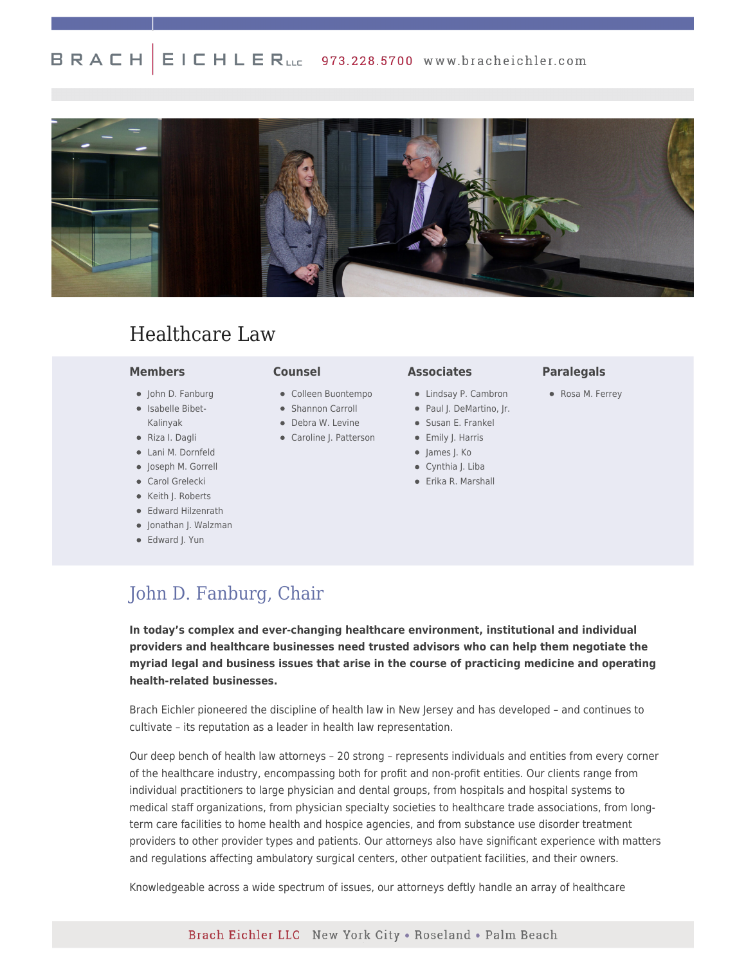#### $E I C H L E R_{LLc}$  973.228.5700 www.bracheichler.com BRACH



# Healthcare Law

#### **Members**

- John D. Fanburg
- Isabelle Bibet-Kalinyak
- Riza I. Dagli
- Lani M. Dornfeld
- Joseph M. Gorrell
- **•** Carol Grelecki
- Keith J. Roberts
- Edward Hilzenrath
- Jonathan J. Walzman
- Edward J. Yun

# **Counsel**

- Colleen Buontempo
- Shannon Carroll
- Debra W. Levine
- Caroline J. Patterson
- James J. Ko
	- Cynthia J. Liba

**Associates**

Erika R. Marshall

Lindsay P. Cambron • Paul J. DeMartino, Jr. Susan E. Frankel • Emily J. Harris

## **Paralegals**

Rosa M. Ferrey

[John D. Fanburg, Chair](https://www.bracheichler.com/professionals/john-d-fanburg/)

**In today's complex and ever-changing healthcare environment, institutional and individual providers and healthcare businesses need trusted advisors who can help them negotiate the myriad legal and business issues that arise in the course of practicing medicine and operating health-related businesses.**

Brach Eichler pioneered the discipline of health law in New Jersey and has developed – and continues to cultivate – its reputation as a leader in health law representation.

Our deep bench of health law attorneys – 20 strong – represents individuals and entities from every corner of the healthcare industry, encompassing both for profit and non-profit entities. Our clients range from individual practitioners to large physician and dental groups, from hospitals and hospital systems to medical staff organizations, from physician specialty societies to healthcare trade associations, from longterm care facilities to home health and hospice agencies, and from substance use disorder treatment providers to other provider types and patients. Our attorneys also have significant experience with matters and regulations affecting ambulatory surgical centers, other outpatient facilities, and their owners.

Knowledgeable across a wide spectrum of issues, our attorneys deftly handle an array of healthcare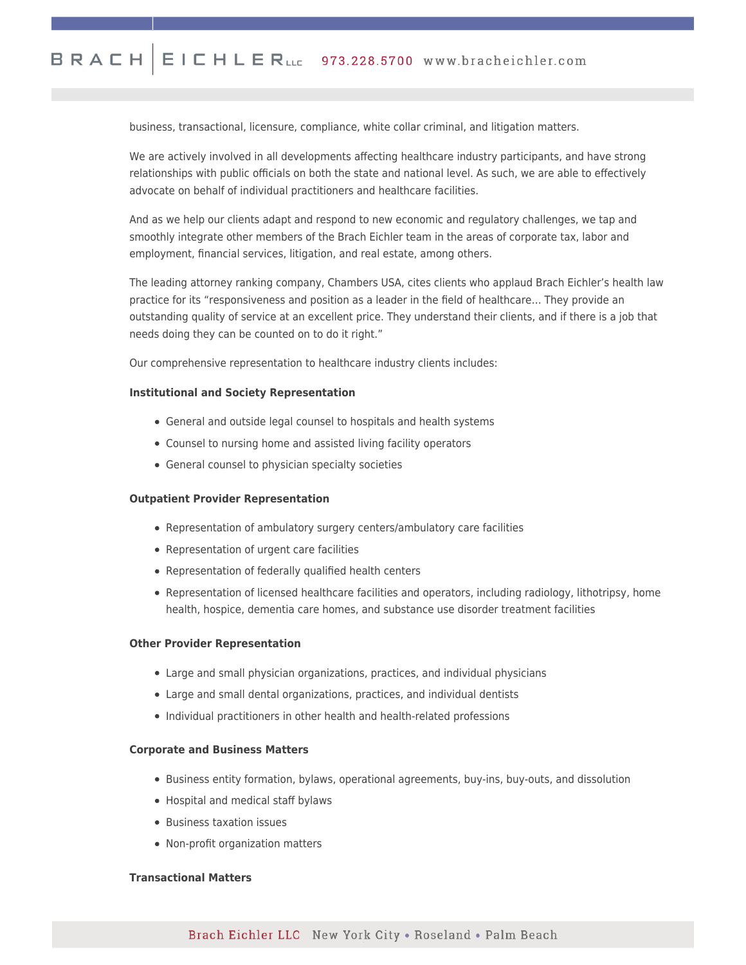business, transactional, licensure, compliance, white collar criminal, and litigation matters.

We are actively involved in all developments affecting healthcare industry participants, and have strong relationships with public officials on both the state and national level. As such, we are able to effectively advocate on behalf of individual practitioners and healthcare facilities.

And as we help our clients adapt and respond to new economic and regulatory challenges, we tap and smoothly integrate other members of the Brach Eichler team in the areas of corporate tax, labor and employment, financial services, litigation, and real estate, among others.

The leading attorney ranking company, Chambers USA, cites clients who applaud Brach Eichler's health law practice for its "responsiveness and position as a leader in the field of healthcare… They provide an outstanding quality of service at an excellent price. They understand their clients, and if there is a job that needs doing they can be counted on to do it right."

Our comprehensive representation to healthcare industry clients includes:

#### **Institutional and Society Representation**

- General and outside legal counsel to hospitals and health systems
- Counsel to nursing home and assisted living facility operators
- General counsel to physician specialty societies

# **Outpatient Provider Representation**

- Representation of ambulatory surgery centers/ambulatory care facilities
- Representation of urgent care facilities
- Representation of federally qualified health centers
- Representation of licensed healthcare facilities and operators, including radiology, lithotripsy, home health, hospice, dementia care homes, and substance use disorder treatment facilities

# **Other Provider Representation**

- Large and small physician organizations, practices, and individual physicians
- Large and small dental organizations, practices, and individual dentists
- Individual practitioners in other health and health-related professions

#### **Corporate and Business Matters**

- Business entity formation, bylaws, operational agreements, buy-ins, buy-outs, and dissolution
- Hospital and medical staff bylaws
- Business taxation issues
- Non-profit organization matters

#### **Transactional Matters**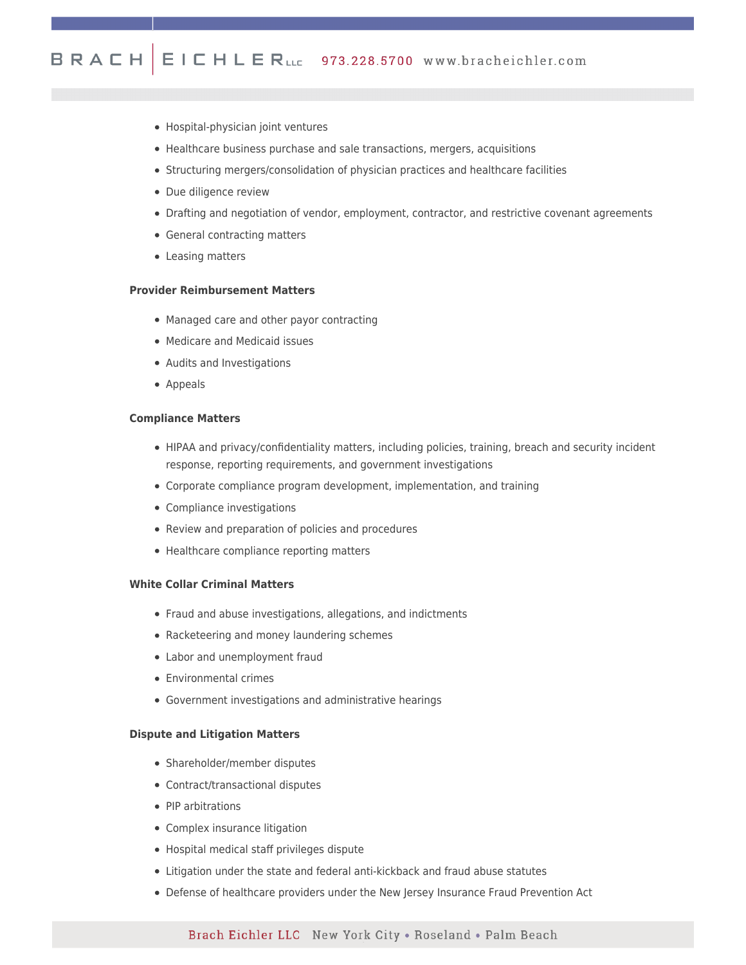- Hospital-physician joint ventures
- Healthcare business purchase and sale transactions, mergers, acquisitions
- Structuring mergers/consolidation of physician practices and healthcare facilities
- Due diligence review
- Drafting and negotiation of vendor, employment, contractor, and restrictive covenant agreements
- General contracting matters
- Leasing matters

# **Provider Reimbursement Matters**

- Managed care and other payor contracting
- Medicare and Medicaid issues
- Audits and Investigations
- Appeals

# **Compliance Matters**

- HIPAA and privacy/confidentiality matters, including policies, training, breach and security incident response, reporting requirements, and government investigations
- Corporate compliance program development, implementation, and training
- Compliance investigations
- Review and preparation of policies and procedures
- Healthcare compliance reporting matters

# **White Collar Criminal Matters**

- Fraud and abuse investigations, allegations, and indictments
- Racketeering and money laundering schemes
- Labor and unemployment fraud
- Environmental crimes
- Government investigations and administrative hearings

#### **Dispute and Litigation Matters**

- Shareholder/member disputes
- Contract/transactional disputes
- PIP arbitrations
- Complex insurance litigation
- Hospital medical staff privileges dispute
- Litigation under the state and federal anti-kickback and fraud abuse statutes
- Defense of healthcare providers under the New Jersey Insurance Fraud Prevention Act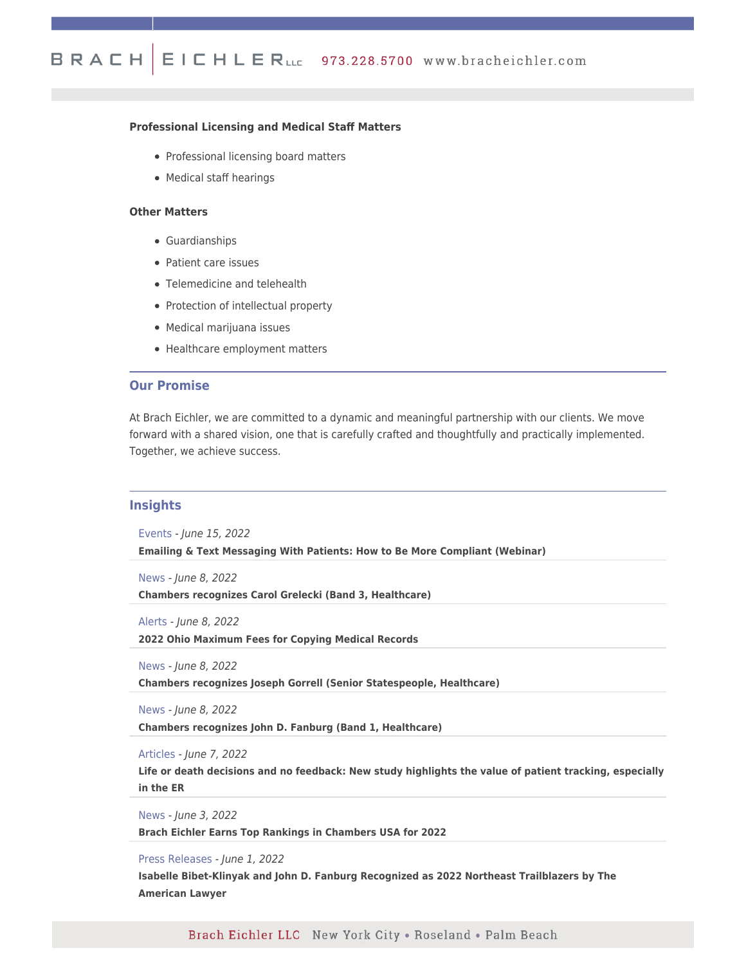# **Professional Licensing and Medical Staff Matters**

- Professional licensing board matters
- Medical staff hearings

#### **Other Matters**

- Guardianships
- Patient care issues
- Telemedicine and telehealth
- Protection of intellectual property
- Medical marijuana issues
- Healthcare employment matters

## **Our Promise**

At Brach Eichler, we are committed to a dynamic and meaningful partnership with our clients. We move forward with a shared vision, one that is carefully crafted and thoughtfully and practically implemented. Together, we achieve success.

# **Insights**

Events - June 15, 2022

**[Emailing & Text Messaging With Patients: How to Be More Compliant \(Webinar\)](https://www.bracheichler.com/insights/emailing-text-messaging-with-patients-how-to-be-more-compliant-webinar/)**

News - June 8, 2022

**[Chambers recognizes Carol Grelecki \(Band 3, Healthcare\)](https://www.bracheichler.com/insights/chambers-recognizes-carol-grelecki-band-3-healthcare/)**

Alerts - June 8, 2022

**[2022 Ohio Maximum Fees for Copying Medical Records](https://www.bracheichler.com/insights/2022-ohio-maximum-fees-for-copying-medical-records/)**

News - June 8, 2022

**[Chambers recognizes Joseph Gorrell \(Senior Statespeople, Healthcare\)](https://www.bracheichler.com/insights/chambers-recognizes-joseph-gorrell-senior-statespeople-healthcare/)**

News - June 8, 2022

**[Chambers recognizes John D. Fanburg \(Band 1, Healthcare\)](https://www.bracheichler.com/insights/chambers-recognizes-john-d-fanburg-band-1-healthcare/)**

Articles - June 7, 2022

**[Life or death decisions and no feedback: New study highlights the value of patient tracking, especially](https://www.statnews.com/2022/05/17/patient-tracking-emergency-doctors/) [in the ER](https://www.statnews.com/2022/05/17/patient-tracking-emergency-doctors/)**

News - June 3, 2022

**[Brach Eichler Earns Top Rankings in Chambers USA for 2022](https://www.bracheichler.com/insights/brach-eichler-earns-top-rankings-in-chambers-usa-for-2022/)**

Press Releases - June 1, 2022

**[Isabelle Bibet-Klinyak and John D. Fanburg Recognized as 2022 Northeast Trailblazers by The](https://www.bracheichler.com/insights/isabelle-bibet-klinyak-and-john-d-fanburg-recognized-as-2022-northeast-trailblazers-by-the-american-lawyer/) [American Lawyer](https://www.bracheichler.com/insights/isabelle-bibet-klinyak-and-john-d-fanburg-recognized-as-2022-northeast-trailblazers-by-the-american-lawyer/)**